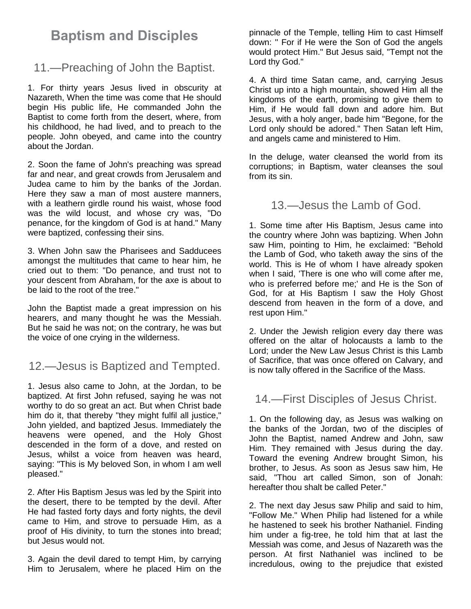## **Baptism and Disciples**

## 11.—Preaching of John the Baptist.

1. For thirty years Jesus lived in obscurity at Nazareth, When the time was come that He should begin His public life, He commanded John the Baptist to come forth from the desert, where, from his childhood, he had lived, and to preach to the people. John obeyed, and came into the country about the Jordan.

2. Soon the fame of John's preaching was spread far and near, and great crowds from Jerusalem and Judea came to him by the banks of the Jordan. Here they saw a man of most austere manners, with a leathern girdle round his waist, whose food was the wild locust, and whose cry was, "Do penance, for the kingdom of God is at hand." Many were baptized, confessing their sins.

3. When John saw the Pharisees and Sadducees amongst the multitudes that came to hear him, he cried out to them: "Do penance, and trust not to your descent from Abraham, for the axe is about to be laid to the root of the tree."

John the Baptist made a great impression on his hearers, and many thought he was the Messiah. But he said he was not; on the contrary, he was but the voice of one crying in the wilderness.

## 12.—Jesus is Baptized and Tempted.

1. Jesus also came to John, at the Jordan, to be baptized. At first John refused, saying he was not worthy to do so great an act. But when Christ bade him do it, that thereby "they might fulfil all justice," John yielded, and baptized Jesus. Immediately the heavens were opened, and the Holy Ghost descended in the form of a dove, and rested on Jesus, whilst a voice from heaven was heard, saying: "This is My beloved Son, in whom I am well pleased."

2. After His Baptism Jesus was led by the Spirit into the desert, there to be tempted by the devil. After He had fasted forty days and forty nights, the devil came to Him, and strove to persuade Him, as a proof of His divinity, to turn the stones into bread; but Jesus would not.

3. Again the devil dared to tempt Him, by carrying Him to Jerusalem, where he placed Him on the pinnacle of the Temple, telling Him to cast Himself down: '' For if He were the Son of God the angels would protect Him." But Jesus said, "Tempt not the Lord thy God."

4. A third time Satan came, and, carrying Jesus Christ up into a high mountain, showed Him all the kingdoms of the earth, promising to give them to Him, if He would fall down and adore him. But Jesus, with a holy anger, bade him "Begone, for the Lord only should be adored." Then Satan left Him, and angels came and ministered to Him.

In the deluge, water cleansed the world from its corruptions; in Baptism, water cleanses the soul from its sin.

13.—Jesus the Lamb of God.

1. Some time after His Baptism, Jesus came into the country where John was baptizing. When John saw Him, pointing to Him, he exclaimed: "Behold the Lamb of God, who taketh away the sins of the world. This is He of whom I have already spoken when I said, 'There is one who will come after me, who is preferred before me;' and He is the Son of God, for at His Baptism I saw the Holy Ghost descend from heaven in the form of a dove, and rest upon Him."

2. Under the Jewish religion every day there was offered on the altar of holocausts a lamb to the Lord; under the New Law Jesus Christ is this Lamb of Sacrifice, that was once offered on Calvary, and is now tally offered in the Sacrifice of the Mass.

## 14.—First Disciples of Jesus Christ.

1. On the following day, as Jesus was walking on the banks of the Jordan, two of the disciples of John the Baptist, named Andrew and John, saw Him. They remained with Jesus during the day. Toward the evening Andrew brought Simon, his brother, to Jesus. As soon as Jesus saw him, He said, "Thou art called Simon, son of Jonah: hereafter thou shalt be called Peter."

2. The next day Jesus saw Philip and said to him, "Follow Me." When Philip had listened for a while he hastened to seek his brother Nathaniel. Finding him under a fig-tree, he told him that at last the Messiah was come, and Jesus of Nazareth was the person. At first Nathaniel was inclined to be incredulous, owing to the prejudice that existed